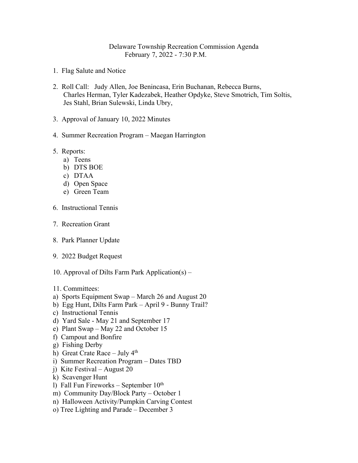## Delaware Township Recreation Commission Agenda February 7, 2022 - 7:30 P.M.

- 1. Flag Salute and Notice
- 2. Roll Call: Judy Allen, Joe Benincasa, Erin Buchanan, Rebecca Burns, Charles Herman, Tyler Kadezabek, Heather Opdyke, Steve Smotrich, Tim Soltis, Jes Stahl, Brian Sulewski, Linda Ubry,
- 3. Approval of January 10, 2022 Minutes
- 4. Summer Recreation Program Maegan Harrington
- 5. Reports:
	- a) Teens
	- b) DTS BOE
	- c) DTAA
	- d) Open Space
	- e) Green Team
- 6. Instructional Tennis
- 7. Recreation Grant
- 8. Park Planner Update
- 9. 2022 Budget Request
- 10. Approval of Dilts Farm Park Application(s) –
- 11. Committees:
- a) Sports Equipment Swap March 26 and August 20
- b) Egg Hunt, Dilts Farm Park April 9 Bunny Trail?
- c) Instructional Tennis
- d) Yard Sale May 21 and September 17
- e) Plant Swap May 22 and October 15
- f) Campout and Bonfire
- g) Fishing Derby
- h) Great Crate Race July 4<sup>th</sup>
- i) Summer Recreation Program Dates TBD
- j) Kite Festival August 20
- k) Scavenger Hunt
- l) Fall Fun Fireworks September  $10<sup>th</sup>$
- m) Community Day/Block Party October 1
- n) Halloween Activity/Pumpkin Carving Contest
- o) Tree Lighting and Parade December 3